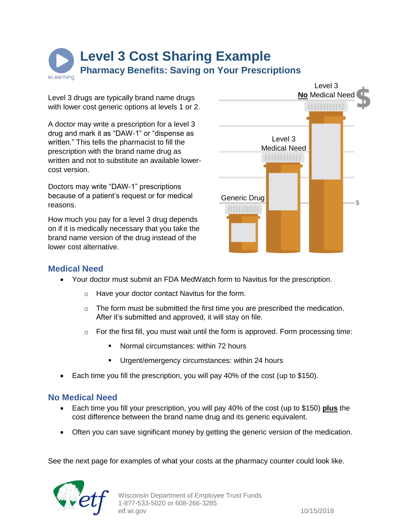**Level 3 Cost Sharing Example Pharmacy Benefits: Saving on Your Prescriptions** el earning

Level 3 drugs are typically brand name drugs with lower cost generic options at levels 1 or 2.

A doctor may write a prescription for a level 3 drug and mark it as "DAW-1" or "dispense as written." This tells the pharmacist to fill the prescription with the brand name drug as written and not to substitute an available lowercost version.

Doctors may write "DAW-1" prescriptions because of a patient's request or for medical reasons.

How much you pay for a level 3 drug depends on if it is medically necessary that you take the brand name version of the drug instead of the lower cost alternative.



# **Medical Need**

- Your doctor must submit an FDA MedWatch form to Navitus for the prescription.
	- o Have your doctor contact Navitus for the form.
	- $\circ$  The form must be submitted the first time you are prescribed the medication. After it's submitted and approved, it will stay on file.
	- $\circ$  For the first fill, you must wait until the form is approved. Form processing time:
		- Normal circumstances: within 72 hours
		- Urgent/emergency circumstances: within 24 hours
- Each time you fill the prescription, you will pay 40% of the cost (up to \$150).

## **No Medical Need**

- Each time you fill your prescription, you will pay 40% of the cost (up to \$150) **plus** the cost difference between the brand name drug and its generic equivalent.
- Often you can save significant money by getting the generic version of the medication.

See the next page for examples of what your costs at the pharmacy counter could look like.